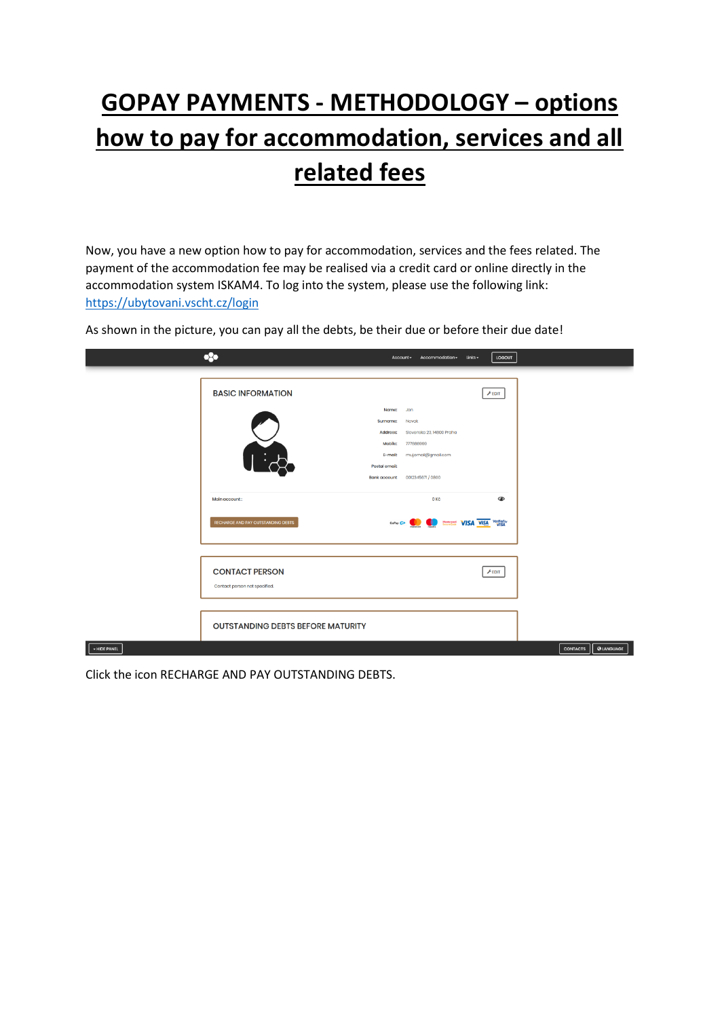## **GOPAY PAYMENTS - METHODOLOGY – options how to pay for accommodation, services and all related fees**

Now, you have a new option how to pay for accommodation, services and the fees related. The payment of the accommodation fee may be realised via a credit card or online directly in the accommodation system ISKAM4. To log into the system, please use the following link: <https://ubytovani.vscht.cz/login>

As shown in the picture, you can pay all the debts, be their due or before their due date!

|              | 83                                                  |                                     | Account -<br>Accommodation -                        | $_{\text{links}}$<br>LOGOUT |                 |                   |
|--------------|-----------------------------------------------------|-------------------------------------|-----------------------------------------------------|-----------------------------|-----------------|-------------------|
|              | <b>BASIC INFORMATION</b>                            |                                     |                                                     | $F$ EDIT                    |                 |                   |
|              |                                                     | Name:<br>Surname:<br>Address:       | Jan<br>Novak<br>Slovenska 23, 14800 Praha           |                             |                 |                   |
|              | $\overline{\phantom{a}}$                            | Mobile:<br>E-mail:<br>Postal email: | 777888999<br>mujemail@gmail.com                     |                             |                 |                   |
|              |                                                     | <b>Bank account</b>                 | 0012345671 / 0800                                   |                             |                 |                   |
|              | Main account:<br>RECHARGE AND PAY OUTSTANDING DEBTS |                                     | 0 <sub>Kč</sub><br>GoPay Gr Contract WISA VISA VISA | ◉                           |                 |                   |
|              | <b>CONTACT PERSON</b>                               |                                     |                                                     | FEDIT                       |                 |                   |
|              | Contact person not specified.                       |                                     |                                                     |                             |                 |                   |
|              | <b>OUTSTANDING DEBTS BEFORE MATURITY</b>            |                                     |                                                     |                             |                 |                   |
| - HIDE PANEL |                                                     |                                     |                                                     |                             | <b>CONTACTS</b> | <b>Q</b> LANGUAGE |

Click the icon RECHARGE AND PAY OUTSTANDING DEBTS.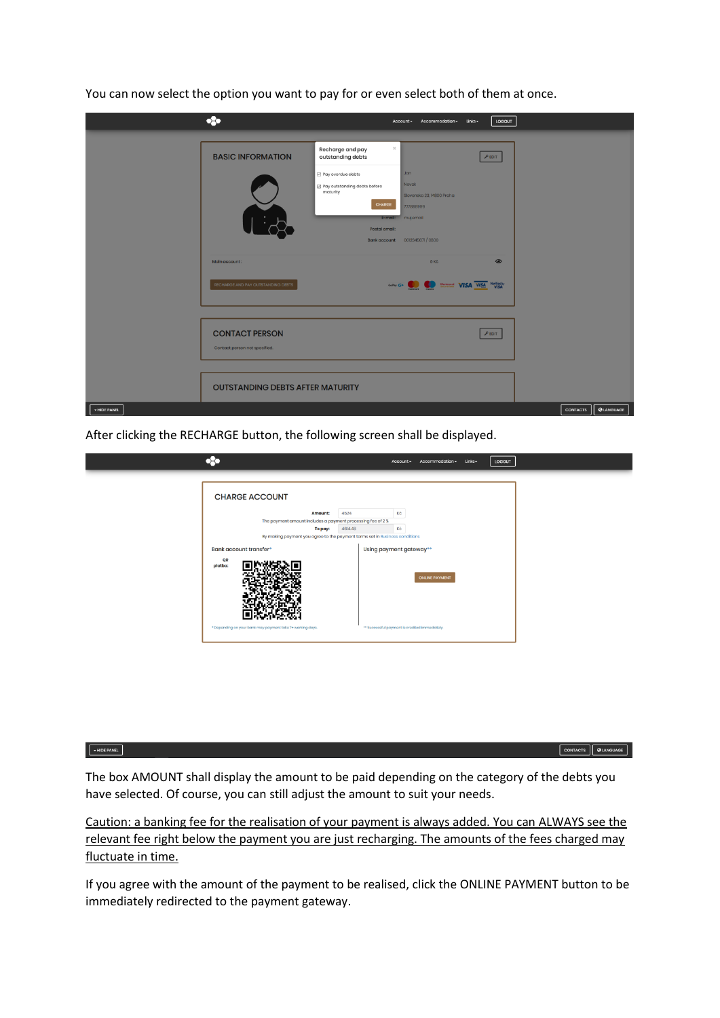|              | $\bullet$                                              | LOGOUT<br>Account * Accommodation *<br>$_{\text{links}}$                                                                                                                                                                                                  |                                      |
|--------------|--------------------------------------------------------|-----------------------------------------------------------------------------------------------------------------------------------------------------------------------------------------------------------------------------------------------------------|--------------------------------------|
|              | <b>BASIC INFORMATION</b>                               | $\mathcal{Y}_n^*$<br>Recharge and pay<br>outstanding debts<br>$F$ EDIT<br>Jan<br>Pay overdue debts<br><b>Novak</b><br>B Pay outstanding debts before<br>maturity<br>Slovenska 23, 14800 Praha<br>CHARGE<br>777888999<br>E-mail: mujemail<br>Postal omail: |                                      |
|              | Main account:<br>RECHARGE AND PAY OUTSTANDING DEBTS    | $\circledcirc$<br>0 <sub>Kč</sub><br>Golby Gr <b>Co.</b> Management VISA VISA Verified by                                                                                                                                                                 |                                      |
|              | <b>CONTACT PERSON</b><br>Contact person not specified. | FEDIT                                                                                                                                                                                                                                                     |                                      |
| + HIDE PANEL | <b>OUTSTANDING DEBTS AFTER MATURITY</b>                |                                                                                                                                                                                                                                                           | <b>Q</b> LANGUAGE<br><b>CONTACTS</b> |

You can now select the option you want to pay for or even select both of them at once.

After clicking the RECHARGE button, the following screen shall be displayed.

|                                                                                                              |         | Account -                                      | Accommodation -       | Links - | LOGOUT |  |
|--------------------------------------------------------------------------------------------------------------|---------|------------------------------------------------|-----------------------|---------|--------|--|
| <b>CHARGE ACCOUNT</b>                                                                                        |         |                                                |                       |         |        |  |
| <b>Amount:</b>                                                                                               | 4524    | Kč                                             |                       |         |        |  |
| The payment amount includes a payment processing fee of 2 %<br>To pay:                                       | 4614.48 | Kö                                             |                       |         |        |  |
| By making payment you agree to the payment terms set in Business conditions<br><b>Bank account transfer*</b> |         | Using payment gateway**                        |                       |         |        |  |
| QR<br>platba:                                                                                                |         |                                                | <b>ONLINE PAYMENT</b> |         |        |  |
| * Depending on your bank may payment take 7+ working days.                                                   |         | ** Successful payment is credited immediately. |                       |         |        |  |
|                                                                                                              |         |                                                |                       |         |        |  |

## $\nightharpoonup$  HIDE PANEL

CONTACTS QUANGUAGE

The box AMOUNT shall display the amount to be paid depending on the category of the debts you have selected. Of course, you can still adjust the amount to suit your needs.

Caution: a banking fee for the realisation of your payment is always added. You can ALWAYS see the relevant fee right below the payment you are just recharging. The amounts of the fees charged may fluctuate in time.

If you agree with the amount of the payment to be realised, click the ONLINE PAYMENT button to be immediately redirected to the payment gateway.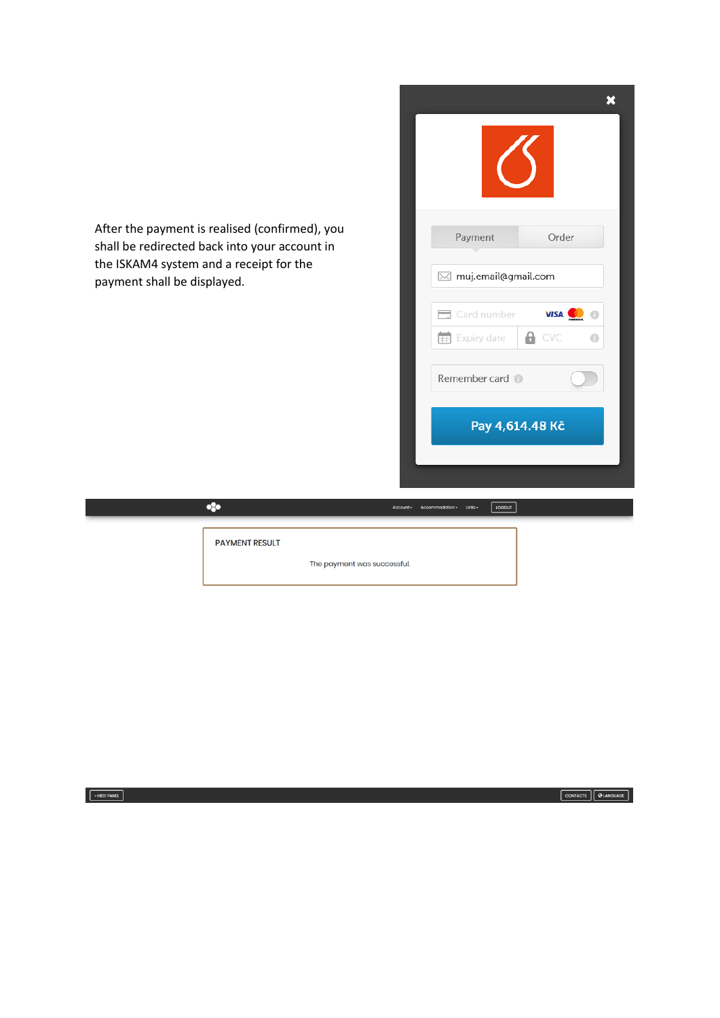After the payment is realised (confirmed), you shall be redirected back into your account in the ISKAM4 system and a receipt for the payment shall be displayed.

**PAYMENT RESULT** 

 $\bullet$ 

The payment was successful.

Account -

Acc

 $\overline{\mathbf{x}}$ Payment Order  $\boxtimes$  muj.email@gmail.com Card number VISA **OD** © Expiry date  $A$  CVC  $\bullet$ Remember card Pay 4,614.48 Kč

**LOGOUT** 

CONTACTS | **Q**LANGUAGE